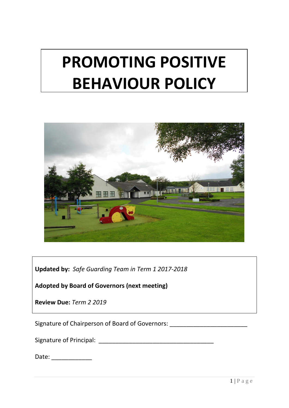# **PROMOTING POSITIVE BEHAVIOUR POLICY**



**Updated by:** *Safe Guarding Team in Term 1 2017-2018*

**Adopted by Board of Governors (next meeting)**

**Review Due:** *Term 2 2019*

Signature of Chairperson of Board of Governors: \_\_\_\_\_\_\_\_\_\_\_\_\_\_\_\_\_\_\_\_\_\_\_\_\_\_\_\_\_\_\_\_

Signature of Principal: \_\_\_\_\_\_\_\_\_\_\_\_\_\_\_\_\_\_\_\_\_\_\_\_\_\_\_\_\_\_\_\_\_\_

Date: \_\_\_\_\_\_\_\_\_\_\_\_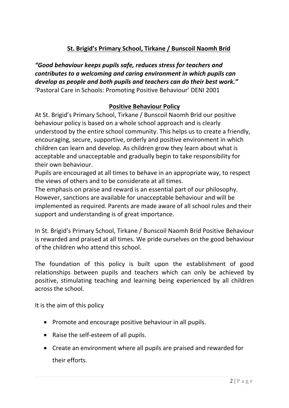## **St. Brigid's Primary School, Tirkane / Bunscoil Naomh Bríd**

*"Good behaviour keeps pupils safe, reduces stress for teachers and contributes to a welcoming and caring environment in which pupils can develop as people and both pupils and teachers can do their best work."* 'Pastoral Care in Schools: Promoting Positive Behaviour' DENI 2001

#### **Positive Behaviour Policy**

At St. Brigid's Primary School, Tirkane / Bunscoil Naomh Bríd our positive behaviour policy is based on a whole school approach and is clearly understood by the entire school community. This helps us to create a friendly, encouraging, secure, supportive, orderly and positive environment in which children can learn and develop. As children grow they learn about what is acceptable and unacceptable and gradually begin to take responsibility for their own behaviour.

Pupils are encouraged at all times to behave in an appropriate way, to respect the views of others and to be considerate at all times.

The emphasis on praise and reward is an essential part of our philosophy. However, sanctions are available for unacceptable behaviour and will be implemented as required. Parents are made aware of all school rules and their support and understanding is of great importance.

In St. Brigid's Primary School, Tirkane / Bunscoil Naomh Bríd Positive Behaviour is rewarded and praised at all times. We pride ourselves on the good behaviour of the children who attend this school.

The foundation of this policy is built upon the establishment of good relationships between pupils and teachers which can only be achieved by positive, stimulating teaching and learning being experienced by all children across the school.

It is the aim of this policy

- Promote and encourage positive behaviour in all pupils.
- Raise the self-esteem of all pupils.
- Create an environment where all pupils are praised and rewarded for their efforts.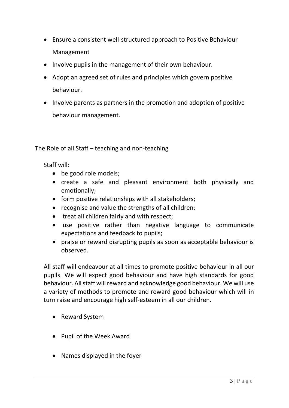- Ensure a consistent well-structured approach to Positive Behaviour Management
- Involve pupils in the management of their own behaviour.
- Adopt an agreed set of rules and principles which govern positive behaviour.
- Involve parents as partners in the promotion and adoption of positive behaviour management.

The Role of all Staff – teaching and non-teaching

Staff will:

- be good role models:
- create a safe and pleasant environment both physically and emotionally;
- form positive relationships with all stakeholders;
- recognise and value the strengths of all children;
- treat all children fairly and with respect;
- use positive rather than negative language to communicate expectations and feedback to pupils;
- praise or reward disrupting pupils as soon as acceptable behaviour is observed.

All staff will endeavour at all times to promote positive behaviour in all our pupils. We will expect good behaviour and have high standards for good behaviour. All staff will reward and acknowledge good behaviour. We will use a variety of methods to promote and reward good behaviour which will in turn raise and encourage high self-esteem in all our children.

- Reward System
- Pupil of the Week Award
- Names displayed in the foyer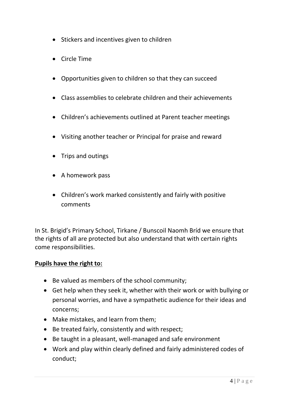- Stickers and incentives given to children
- Circle Time
- Opportunities given to children so that they can succeed
- Class assemblies to celebrate children and their achievements
- Children's achievements outlined at Parent teacher meetings
- Visiting another teacher or Principal for praise and reward
- Trips and outings
- A homework pass
- Children's work marked consistently and fairly with positive comments

In St. Brigid's Primary School, Tirkane / Bunscoil Naomh Bríd we ensure that the rights of all are protected but also understand that with certain rights come responsibilities.

#### **Pupils have the right to:**

- Be valued as members of the school community;
- Get help when they seek it, whether with their work or with bullying or personal worries, and have a sympathetic audience for their ideas and concerns;
- Make mistakes, and learn from them;
- Be treated fairly, consistently and with respect;
- Be taught in a pleasant, well-managed and safe environment
- Work and play within clearly defined and fairly administered codes of conduct;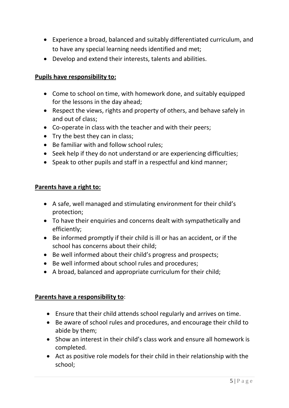- Experience a broad, balanced and suitably differentiated curriculum, and to have any special learning needs identified and met;
- Develop and extend their interests, talents and abilities.

#### **Pupils have responsibility to:**

- Come to school on time, with homework done, and suitably equipped for the lessons in the day ahead;
- Respect the views, rights and property of others, and behave safely in and out of class;
- Co-operate in class with the teacher and with their peers;
- Try the best they can in class;
- Be familiar with and follow school rules;
- Seek help if they do not understand or are experiencing difficulties;
- Speak to other pupils and staff in a respectful and kind manner;

#### **Parents have a right to:**

- A safe, well managed and stimulating environment for their child's protection;
- To have their enquiries and concerns dealt with sympathetically and efficiently;
- Be informed promptly if their child is ill or has an accident, or if the school has concerns about their child;
- Be well informed about their child's progress and prospects;
- Be well informed about school rules and procedures;
- A broad, balanced and appropriate curriculum for their child;

#### **Parents have a responsibility to**:

- Ensure that their child attends school regularly and arrives on time.
- Be aware of school rules and procedures, and encourage their child to abide by them;
- Show an interest in their child's class work and ensure all homework is completed.
- Act as positive role models for their child in their relationship with the school;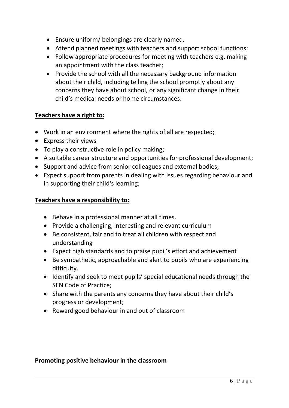- Ensure uniform/ belongings are clearly named.
- Attend planned meetings with teachers and support school functions;
- Follow appropriate procedures for meeting with teachers e.g. making an appointment with the class teacher;
- Provide the school with all the necessary background information about their child, including telling the school promptly about any concerns they have about school, or any significant change in their child's medical needs or home circumstances.

#### **Teachers have a right to:**

- Work in an environment where the rights of all are respected;
- Express their views
- To play a constructive role in policy making;
- A suitable career structure and opportunities for professional development;
- Support and advice from senior colleagues and external bodies;
- Expect support from parents in dealing with issues regarding behaviour and in supporting their child's learning;

#### **Teachers have a responsibility to:**

- Behave in a professional manner at all times.
- Provide a challenging, interesting and relevant curriculum
- Be consistent, fair and to treat all children with respect and understanding
- Expect high standards and to praise pupil's effort and achievement
- Be sympathetic, approachable and alert to pupils who are experiencing difficulty.
- Identify and seek to meet pupils' special educational needs through the SEN Code of Practice;
- Share with the parents any concerns they have about their child's progress or development;
- Reward good behaviour in and out of classroom

#### **Promoting positive behaviour in the classroom**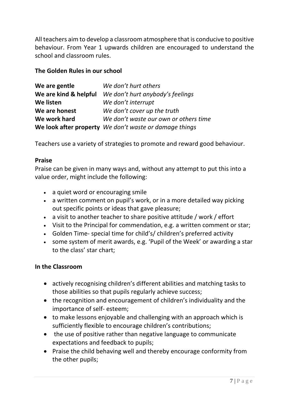All teachers aim to develop a classroom atmosphere that is conducive to positive behaviour. From Year 1 upwards children are encouraged to understand the school and classroom rules.

#### **The Golden Rules in our school**

| We are gentle         | We don't hurt others                                   |
|-----------------------|--------------------------------------------------------|
| We are kind & helpful | We don't hurt anybody's feelings                       |
| We listen             | We don't interrupt                                     |
| We are honest         | We don't cover up the truth                            |
| We work hard          | We don't waste our own or others time                  |
|                       | We look after property We don't waste or damage things |

Teachers use a variety of strategies to promote and reward good behaviour.

#### **Praise**

Praise can be given in many ways and, without any attempt to put this into a value order, might include the following:

- a quiet word or encouraging smile
- a written comment on pupil's work, or in a more detailed way picking out specific points or ideas that gave pleasure;
- a visit to another teacher to share positive attitude / work / effort
- Visit to the Principal for commendation, e.g. a written comment or star;
- Golden Time- special time for child's/ children's preferred activity
- some system of merit awards, e.g. 'Pupil of the Week' or awarding a star to the class' star chart;

#### **In the Classroom**

- actively recognising children's different abilities and matching tasks to those abilities so that pupils regularly achieve success;
- the recognition and encouragement of children's individuality and the importance of self- esteem;
- to make lessons enjoyable and challenging with an approach which is sufficiently flexible to encourage children's contributions;
- the use of positive rather than negative language to communicate expectations and feedback to pupils;
- Praise the child behaving well and thereby encourage conformity from the other pupils;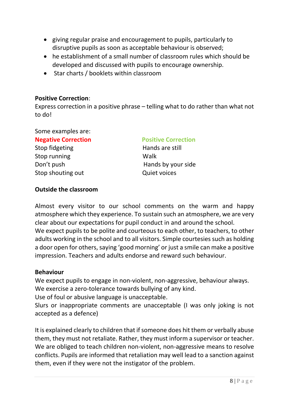- giving regular praise and encouragement to pupils, particularly to disruptive pupils as soon as acceptable behaviour is observed;
- he establishment of a small number of classroom rules which should be developed and discussed with pupils to encourage ownership.
- Star charts / booklets within classroom

#### **Positive Correction**:

Express correction in a positive phrase – telling what to do rather than what not to do!

Some examples are:

#### **Negative Correction Positive Correction**

Stop fidgeting **Hands** are still Stop running Walk Stop shouting out **COVID-10** Quiet voices

Don't push **Hands** by your side

#### **Outside the classroom**

Almost every visitor to our school comments on the warm and happy atmosphere which they experience. To sustain such an atmosphere, we are very clear about our expectations for pupil conduct in and around the school. We expect pupils to be polite and courteous to each other, to teachers, to other adults working in the school and to all visitors. Simple courtesies such as holding a door open for others, saying 'good morning' or just a smile can make a positive impression. Teachers and adults endorse and reward such behaviour.

#### **Behaviour**

We expect pupils to engage in non-violent, non-aggressive, behaviour always. We exercise a zero-tolerance towards bullying of any kind.

Use of foul or abusive language is unacceptable.

Slurs or inappropriate comments are unacceptable (I was only joking is not accepted as a defence)

It is explained clearly to children that if someone does hit them or verbally abuse them, they must not retaliate. Rather, they must inform a supervisor or teacher. We are obliged to teach children non-violent, non-aggressive means to resolve conflicts. Pupils are informed that retaliation may well lead to a sanction against them, even if they were not the instigator of the problem.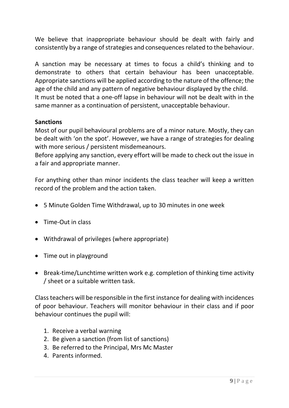We believe that inappropriate behaviour should be dealt with fairly and consistently by a range of strategies and consequences related to the behaviour.

A sanction may be necessary at times to focus a child's thinking and to demonstrate to others that certain behaviour has been unacceptable. Appropriate sanctions will be applied according to the nature of the offence; the age of the child and any pattern of negative behaviour displayed by the child. It must be noted that a one-off lapse in behaviour will not be dealt with in the same manner as a continuation of persistent, unacceptable behaviour.

#### **Sanctions**

Most of our pupil behavioural problems are of a minor nature. Mostly, they can be dealt with 'on the spot'. However, we have a range of strategies for dealing with more serious / persistent misdemeanours.

Before applying any sanction, every effort will be made to check out the issue in a fair and appropriate manner.

For anything other than minor incidents the class teacher will keep a written record of the problem and the action taken.

- 5 Minute Golden Time Withdrawal, up to 30 minutes in one week
- Time-Out in class
- Withdrawal of privileges (where appropriate)
- Time out in playground
- Break-time/Lunchtime written work e.g. completion of thinking time activity / sheet or a suitable written task.

Class teachers will be responsible in the first instance for dealing with incidences of poor behaviour. Teachers will monitor behaviour in their class and if poor behaviour continues the pupil will:

- 1. Receive a verbal warning
- 2. Be given a sanction (from list of sanctions)
- 3. Be referred to the Principal, Mrs Mc Master
- 4. Parents informed.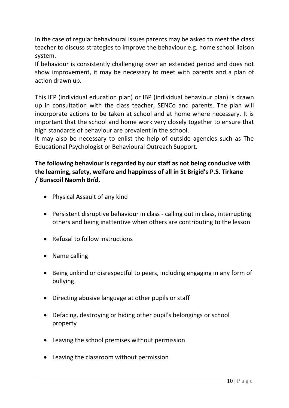In the case of regular behavioural issues parents may be asked to meet the class teacher to discuss strategies to improve the behaviour e.g. home school liaison system.

If behaviour is consistently challenging over an extended period and does not show improvement, it may be necessary to meet with parents and a plan of action drawn up.

This IEP (individual education plan) or IBP (individual behaviour plan) is drawn up in consultation with the class teacher, SENCo and parents. The plan will incorporate actions to be taken at school and at home where necessary. It is important that the school and home work very closely together to ensure that high standards of behaviour are prevalent in the school.

It may also be necessary to enlist the help of outside agencies such as The Educational Psychologist or Behavioural Outreach Support.

### **The following behaviour is regarded by our staff as not being conducive with the learning, safety, welfare and happiness of all in St Brigid's P.S. Tirkane / Bunscoil Naomh Bríd.**

- Physical Assault of any kind
- Persistent disruptive behaviour in class calling out in class, interrupting others and being inattentive when others are contributing to the lesson
- Refusal to follow instructions
- Name calling
- Being unkind or disrespectful to peers, including engaging in any form of bullying.
- Directing abusive language at other pupils or staff
- Defacing, destroying or hiding other pupil's belongings or school property
- Leaving the school premises without permission
- Leaving the classroom without permission